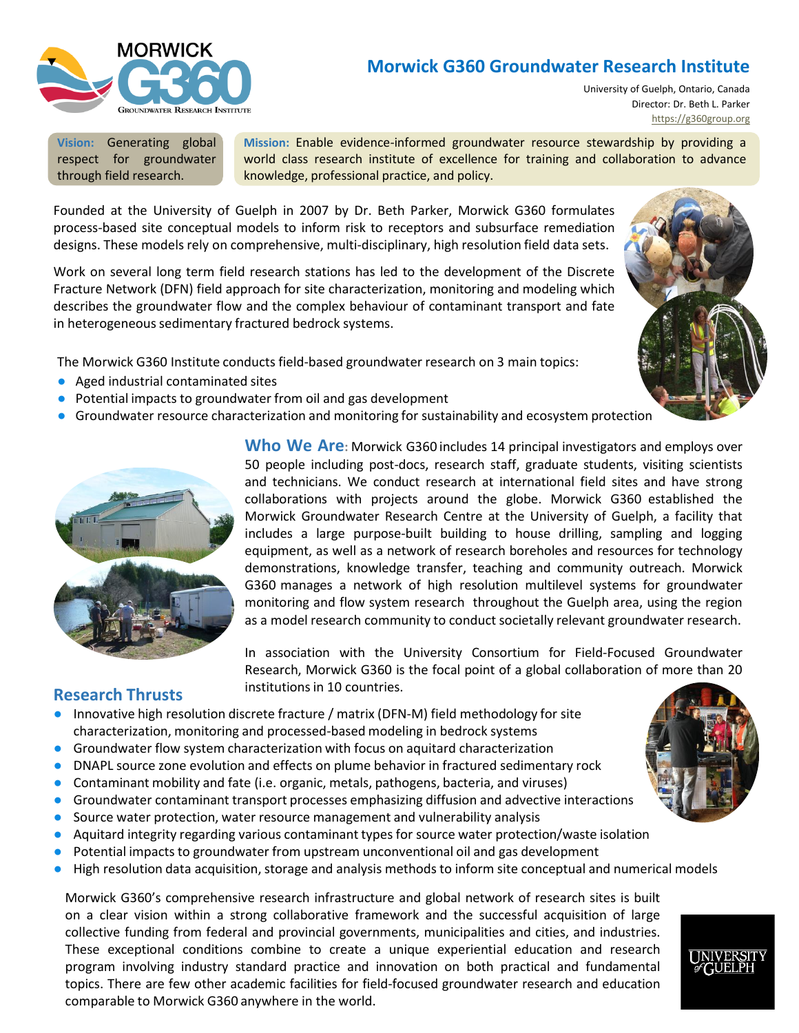

# **Morwick G360 Groundwater Research Institute**

University of Guelph, Ontario, Canada Director: Dr. Beth L. Parker [https://g360group.org](https://g360group.org/)

**Vision:** Generating global respect for groundwater through field research.

**Mission:** Enable evidence-informed groundwater resource stewardship by providing a world class research institute of excellence for training and collaboration to advance knowledge, professional practice, and policy.

Founded at the University of Guelph in 2007 by Dr. Beth Parker, Morwick G360 formulates process-based site conceptual models to inform risk to receptors and subsurface remediation designs. These models rely on comprehensive, multi-disciplinary, high resolution field data sets.

Work on several long term field research stations has led to the development of the Discrete Fracture Network (DFN) field approach for site characterization, monitoring and modeling which describes the groundwater flow and the complex behaviour of contaminant transport and fate in heterogeneous sedimentary fractured bedrock systems.

The Morwick G360 Institute conducts field-based groundwater research on 3 main topics:

- Aged industrial contaminated sites
- Potential impacts to groundwater from oil and gas development
- Groundwater resource characterization and monitoring for sustainability and ecosystem protection



**Who We Are:** Morwick G360 includes 14 principal investigators and employs over 50 people including post-docs, research staff, graduate students, visiting scientists and technicians. We conduct research at international field sites and have strong collaborations with projects around the globe. Morwick G360 established the Morwick Groundwater Research Centre at the University of Guelph, a facility that includes a large purpose-built building to house drilling, sampling and logging equipment, as well as a network of research boreholes and resources for technology demonstrations, knowledge transfer, teaching and community outreach. Morwick G360 manages a network of high resolution multilevel systems for groundwater monitoring and flow system research throughout the Guelph area, using the region as a model research community to conduct societally relevant groundwater research.

In association with the University Consortium for Field-Focused Groundwater Research, Morwick G360 is the focal point of a global collaboration of more than 20 institutions in 10 countries.

### **Research Thrusts**

- Innovative high resolution discrete fracture / matrix (DFN-M) field methodology for site characterization, monitoring and processed-based modeling in bedrock systems
- Groundwater flow system characterization with focus on aquitard characterization
- DNAPL source zone evolution and effects on plume behavior in fractured sedimentary rock
- Contaminant mobility and fate (i.e. organic, metals, pathogens, bacteria, and viruses)
- Groundwater contaminant transport processes emphasizing diffusion and advective interactions
- Source water protection, water resource management and vulnerability analysis
- Aquitard integrity regarding various contaminant types for source water protection/waste isolation
- Potential impacts to groundwater from upstream unconventional oil and gas development
- High resolution data acquisition, storage and analysis methods to inform site conceptual and numerical models

Morwick G360's comprehensive research infrastructure and global network of research sites is built on a clear vision within a strong collaborative framework and the successful acquisition of large collective funding from federal and provincial governments, municipalities and cities, and industries. These exceptional conditions combine to create a unique experiential education and research program involving industry standard practice and innovation on both practical and fundamental topics. There are few other academic facilities for field-focused groundwater research and education comparable to Morwick G360 anywhere in the world.



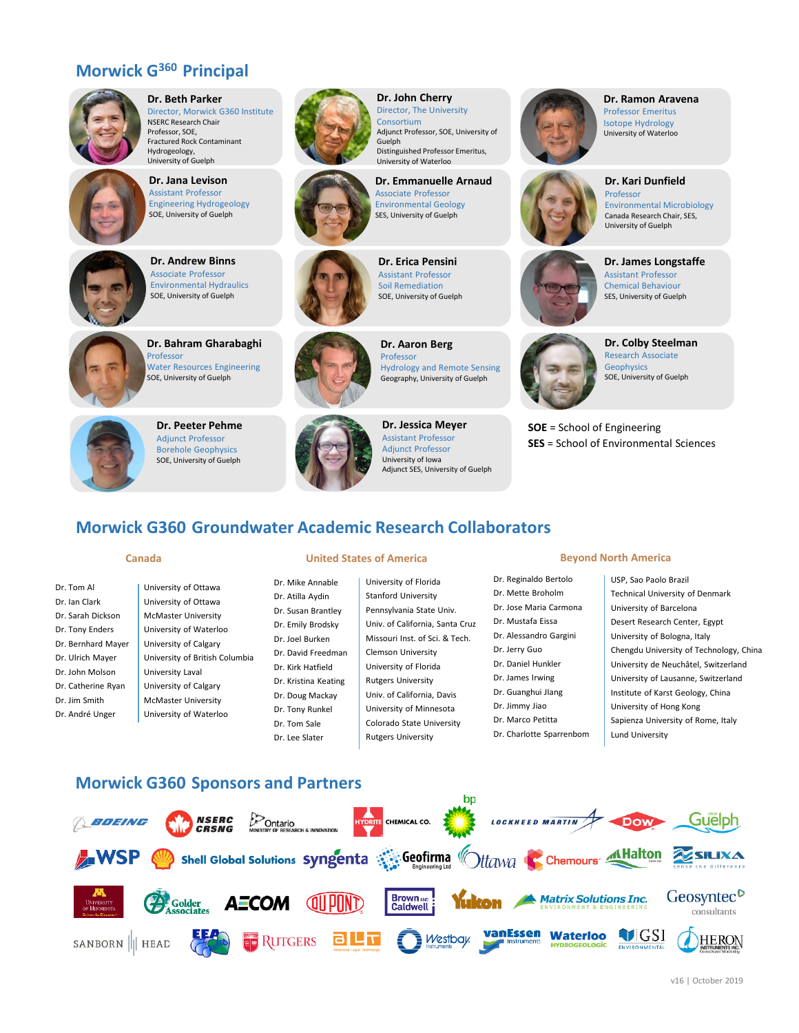## **Morwick G<sup>360</sup>Principal**

Hydrogeology,



**Investigators Dr. Beth Parker Director, Morwick G360 Institute** NSERC Research Chair Professor, SOE, Fractured Rock Contaminant

> University of Guelph **Dr. Jana Levison** Assistant Professor Engineering Hydrogeology SOE, University of Guelph



**Dr. Andrew Binns** Associate Professor Environmental Hydraulics SOE, University of Guelph



**Dr. Bahram Gharabaghi**  Professor Water Resources Engineering SOE, University of Guelph



**Dr. Peeter Pehme** Adjunct Professor Borehole Geophysics SOE, University of Guelph





**Dr. John Cherry** Director, The University Consortium

**Dr. Emmanuelle Arnaud** Environmental Geology SES, University of Guelph



**Dr. Erica Pensini** Assistant Professor Soil Remediation SOE, University of Guelph



**Dr. Aaron Berg** Hydrology and Remote Sensing Geography, University of Guelph

**Dr. Jessica Meyer** Assistant Professor Adjunct Professor University of Iowa Adjunct SES, University of Guelph



**Dr. Ramon Aravena** Professor Emeritus Isotope Hydrology University of Waterloo

**Dr. Kari Dunfield**



Professor Environmental Microbiology Canada Research Chair, SES, University of Guelph

### **Dr. James Longstaffe** Assistant Professor Chemical Behaviour SES, University of Guelph



**Dr. Colby Steelman** Research Associate Geophysics SOE, University of Guelph

**SOE** = School of Engineering **SES** = School of Environmental Sciences

# **Morwick G360 Groundwater Academic Research Collaborators**

Dr. Tom Al Dr. Ian Clark Dr. Sarah Dickson Dr. Tony Enders Dr. Bernhard Mayer Dr. Ulrich Mayer Dr. John Molson Dr. Catherine Ryan Dr. Jim Smith Dr. André Unger

University of Ottawa University of Ottawa McMaster University University of Waterloo University of Calgary University of British Columbia University Laval University of Calgary McMaster University University of Waterloo

#### **Canada United States of America Beyond North America**

Dr. Mike Annable Dr. Atilla Aydin Dr. Susan Brantley Dr. Emily Brodsky Dr. Joel Burken Dr. David Freedman Dr. Kirk Hatfield Dr. Kristina Keating Dr. Doug Mackay Dr. Tony Runkel Dr. Tom Sale Dr. Lee Slater

University of Florida Stanford University Pennsylvania State Univ. Univ. of California, Santa Cruz Missouri Inst. of Sci. & Tech. Clemson University University of Florida Rutgers University Univ. of California, Davis University of Minnesota Colorado State University Rutgers University

Lund University

- Dr. Reginaldo Bertolo Dr. Mette Broholm Dr. Jose Maria Carmona Dr. Mustafa Eissa Dr. Alessandro Gargini Dr. Jerry Guo
- Dr. Daniel Hunkler
- Dr. James Irwing
- Dr. Guanghui JIang
- Dr. Jimmy Jiao
- Dr. Marco Petitta
- Dr. Charlotte Sparrenbom
- USP, Sao Paolo Brazil Technical University of Denmark University of Barcelona Desert Research Center, Egypt University of Bologna, Italy Chengdu University of Technology, China University de Neuchâtel, Switzerland University of Lausanne, Switzerland Institute of Karst Geology, China University of Hong Kong Sapienza University of Rome, Italy

## **Morwick G360 Sponsors and Partners**